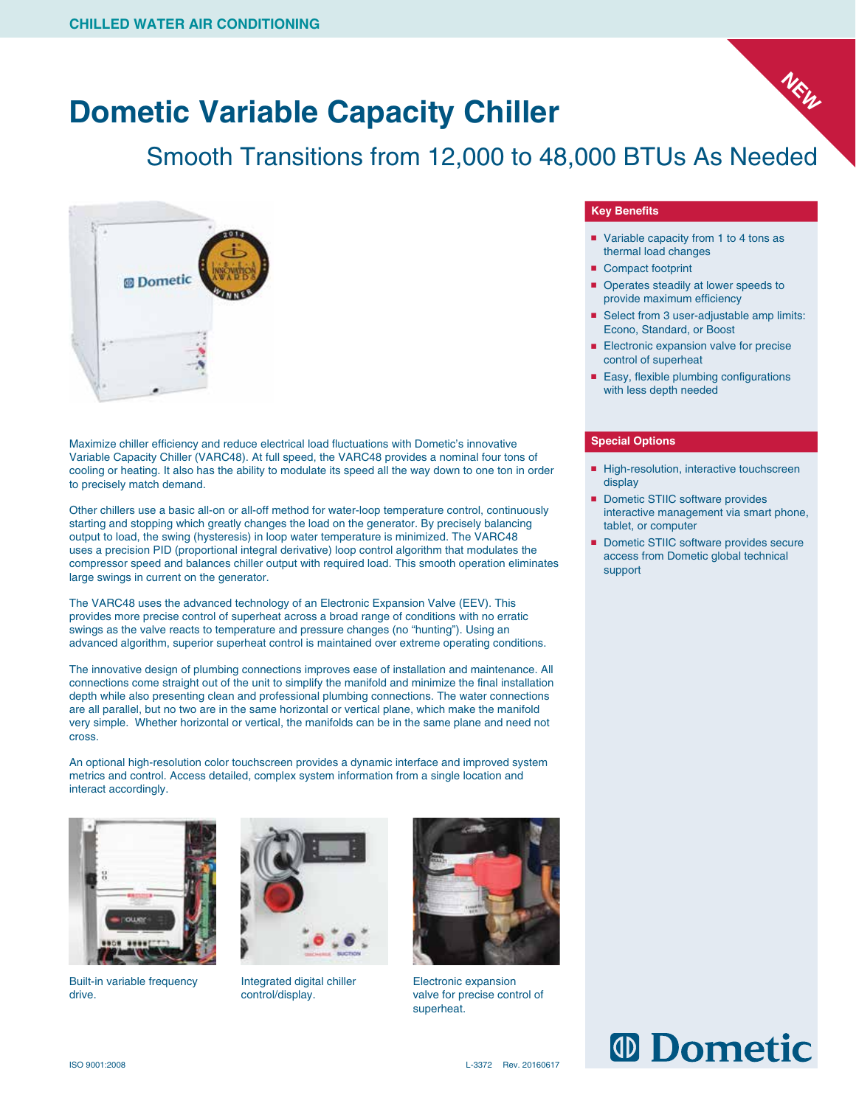# **Dometic Variable Capacity Chiller**

## Smooth Transitions from 12,000 to 48,000 BTUs As Needed



Maximize chiller efficiency and reduce electrical load fluctuations with Dometic's innovative Variable Capacity Chiller (VARC48). At full speed, the VARC48 provides a nominal four tons of cooling or heating. It also has the ability to modulate its speed all the way down to one ton in order to precisely match demand.

Other chillers use a basic all-on or all-off method for water-loop temperature control, continuously starting and stopping which greatly changes the load on the generator. By precisely balancing output to load, the swing (hysteresis) in loop water temperature is minimized. The VARC48 uses a precision PID (proportional integral derivative) loop control algorithm that modulates the compressor speed and balances chiller output with required load. This smooth operation eliminates large swings in current on the generator.

The VARC48 uses the advanced technology of an Electronic Expansion Valve (EEV). This provides more precise control of superheat across a broad range of conditions with no erratic swings as the valve reacts to temperature and pressure changes (no "hunting"). Using an advanced algorithm, superior superheat control is maintained over extreme operating conditions.

The innovative design of plumbing connections improves ease of installation and maintenance. All connections come straight out of the unit to simplify the manifold and minimize the final installation depth while also presenting clean and professional plumbing connections. The water connections are all parallel, but no two are in the same horizontal or vertical plane, which make the manifold very simple. Whether horizontal or vertical, the manifolds can be in the same plane and need not cross.

An optional high-resolution color touchscreen provides a dynamic interface and improved system metrics and control. Access detailed, complex system information from a single location and interact accordingly.



Built-in variable frequency drive.



Integrated digital chiller control/display.



Electronic expansion valve for precise control of superheat.

#### **Key Benefits**

■ Variable capacity from 1 to 4 tons as thermal load changes

**NEW**

- Compact footprint
- Operates steadily at lower speeds to provide maximum efficiency
- Select from 3 user-adjustable amp limits: Econo, Standard, or Boost
- Electronic expansion valve for precise control of superheat
- Easy, flexible plumbing configurations with less depth needed

#### **Special Options**

- High-resolution, interactive touchscreen display
- Dometic STIIC software provides interactive management via smart phone, tablet, or computer
- Dometic STIIC software provides secure access from Dometic global technical support